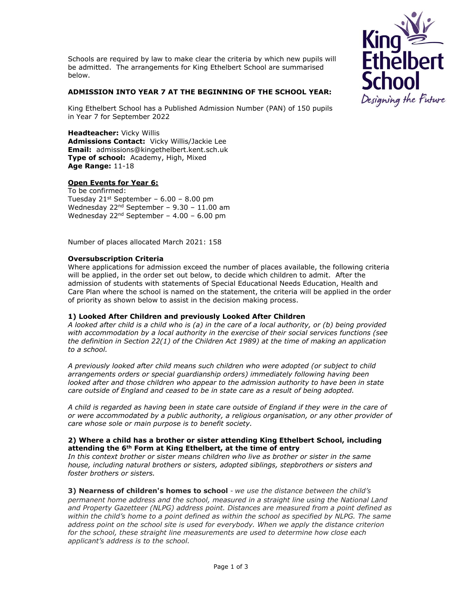



### **ADMISSION INTO YEAR 7 AT THE BEGINNING OF THE SCHOOL YEAR:**

King Ethelbert School has a Published Admission Number (PAN) of 150 pupils in Year 7 for September 2022

**Headteacher:** Vicky Willis **Admissions Contact:** Vicky Willis/Jackie Lee **Email:** admissions@kingethelbert.kent.sch.uk **Type of school:** Academy, High, Mixed **Age Range:** 11-18

# **Open Events for Year 6:**

To be confirmed: Tuesday  $21<sup>st</sup>$  September – 6.00 – 8.00 pm Wednesday  $22<sup>nd</sup>$  September – 9.30 – 11.00 am Wednesday  $22^{nd}$  September - 4.00 - 6.00 pm

Number of places allocated March 2021: 158

### **Oversubscription Criteria**

Where applications for admission exceed the number of places available, the following criteria will be applied, in the order set out below, to decide which children to admit. After the admission of students with statements of Special Educational Needs Education, Health and Care Plan where the school is named on the statement, the criteria will be applied in the order of priority as shown below to assist in the decision making process.

# **1) Looked After Children and previously Looked After Children**

*A looked after child is a child who is (a) in the care of a local authority, or (b) being provided with accommodation by a local authority in the exercise of their social services functions (see the definition in Section 22(1) of the Children Act 1989) at the time of making an application to a school.* 

*A previously looked after child means such children who were adopted (or subject to child arrangements orders or special guardianship orders) immediately following having been*  looked after and those children who appear to the admission authority to have been in state *care outside of England and ceased to be in state care as a result of being adopted.* 

*A child is regarded as having been in state care outside of England if they were in the care of or were accommodated by a public authority, a religious organisation, or any other provider of care whose sole or main purpose is to benefit society.* 

### **2) Where a child has a brother or sister attending King Ethelbert School, including attending the 6th Form at King Ethelbert, at the time of entry**

*In this context brother or sister means children who live as brother or sister in the same house, including natural brothers or sisters, adopted siblings, stepbrothers or sisters and foster brothers or sisters.*

**3) Nearness of children's homes to school** - *we use the distance between the child's permanent home address and the school, measured in a straight line using the National Land and Property Gazetteer (NLPG) address point. Distances are measured from a point defined as within the child's home to a point defined as within the school as specified by NLPG. The same address point on the school site is used for everybody. When we apply the distance criterion for the school, these straight line measurements are used to determine how close each applicant's address is to the school.*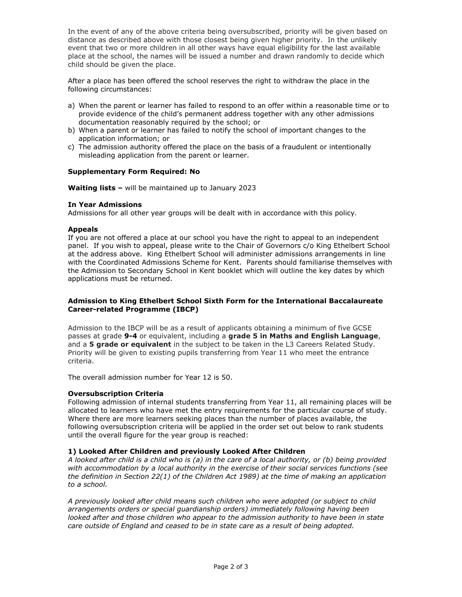In the event of any of the above criteria being oversubscribed, priority will be given based on distance as described above with those closest being given higher priority. In the unlikely event that two or more children in all other ways have equal eligibility for the last available place at the school, the names will be issued a number and drawn randomly to decide which child should be given the place.

After a place has been offered the school reserves the right to withdraw the place in the following circumstances:

- a) When the parent or learner has failed to respond to an offer within a reasonable time or to provide evidence of the child's permanent address together with any other admissions documentation reasonably required by the school; or
- b) When a parent or learner has failed to notify the school of important changes to the application information; or
- c) The admission authority offered the place on the basis of a fraudulent or intentionally misleading application from the parent or learner.

### **Supplementary Form Required: No**

**Waiting lists –** will be maintained up to January 2023

### **In Year Admissions**

Admissions for all other year groups will be dealt with in accordance with this policy.

### **Appeals**

If you are not offered a place at our school you have the right to appeal to an independent panel. If you wish to appeal, please write to the Chair of Governors c/o King Ethelbert School at the address above. King Ethelbert School will administer admissions arrangements in line with the Coordinated Admissions Scheme for Kent. Parents should familiarise themselves with the Admission to Secondary School in Kent booklet which will outline the key dates by which applications must be returned.

### **Admission to King Ethelbert School Sixth Form for the International Baccalaureate Career-related Programme (IBCP)**

Admission to the IBCP will be as a result of applicants obtaining a minimum of five GCSE passes at grade **9-4** or equivalent, including a **grade 5 in Maths and English Language**, and a **5 grade or equivalent** in the subject to be taken in the L3 Careers Related Study. Priority will be given to existing pupils transferring from Year 11 who meet the entrance criteria.

The overall admission number for Year 12 is 50.

# **Oversubscription Criteria**

Following admission of internal students transferring from Year 11, all remaining places will be allocated to learners who have met the entry requirements for the particular course of study. Where there are more learners seeking places than the number of places available, the following oversubscription criteria will be applied in the order set out below to rank students until the overall figure for the year group is reached:

### **1) Looked After Children and previously Looked After Children**

*A looked after child is a child who is (a) in the care of a local authority, or (b) being provided with accommodation by a local authority in the exercise of their social services functions (see the definition in Section 22(1) of the Children Act 1989) at the time of making an application to a school.* 

*A previously looked after child means such children who were adopted (or subject to child arrangements orders or special guardianship orders) immediately following having been*  looked after and those children who appear to the admission authority to have been in state *care outside of England and ceased to be in state care as a result of being adopted.*